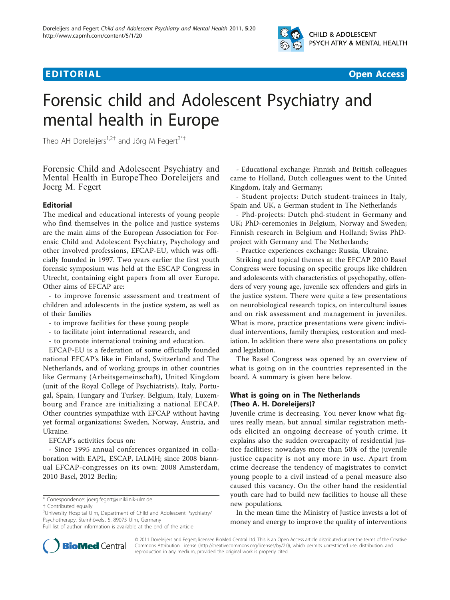



# Forensic child and Adolescent Psychiatry and mental health in Europe

Theo AH Doreleijers<sup>1,2†</sup> and Jörg M Fegert<sup>3\*†</sup>

[Forensic Child and Adolescent Psychiatry and](http://www.capmh.com/content/5/1/20) [Mental Health in EuropeTheo Doreleijers and](http://www.capmh.com/content/5/1/20) [Joerg M. Fegert](http://www.capmh.com/content/5/1/20)

#### Editorial

The medical and educational interests of young people who find themselves in the police and justice systems are the main aims of the European Association for Forensic Child and Adolescent Psychiatry, Psychology and other involved professions, EFCAP-EU, which was officially founded in 1997. Two years earlier the first youth forensic symposium was held at the ESCAP Congress in Utrecht, containing eight papers from all over Europe. Other aims of EFCAP are:

to improve forensic assessment and treatment of children and adolescents in the justice system, as well as of their families

- to improve facilities for these young people
- to facilitate joint international research, and
- to promote international training and education.

EFCAP-EU is a federation of some officially founded national EFCAP's like in Finland, Switzerland and The Netherlands, and of working groups in other countries like Germany (Arbeitsgemeinschaft), United Kingdom (unit of the Royal College of Psychiatrists), Italy, Portugal, Spain, Hungary and Turkey. Belgium, Italy, Luxembourg and France are initializing a national EFCAP. Other countries sympathize with EFCAP without having yet formal organizations: Sweden, Norway, Austria, and Ukraine.

EFCAP's activities focus on:

- Since 1995 annual conferences organized in collaboration with EAPL, ESCAP, IALMH; since 2008 biannual EFCAP-congresses on its own: 2008 Amsterdam, 2010 Basel, 2012 Berlin;

<sup>3</sup>University Hospital Ulm, Department of Child and Adolescent Psychiatry/ Psychotherapy, Steinhövelst 5, 89075 Ulm, Germany



- Student projects: Dutch student-trainees in Italy, Spain and UK, a German student in The Netherlands

- Phd-projects: Dutch phd-student in Germany and UK; PhD-ceremonies in Belgium, Norway and Sweden; Finnish research in Belgium and Holland; Swiss PhDproject with Germany and The Netherlands;

- Practice experiences exchange: Russia, Ukraine.

Striking and topical themes at the EFCAP 2010 Basel Congress were focusing on specific groups like children and adolescents with characteristics of psychopathy, offenders of very young age, juvenile sex offenders and girls in the justice system. There were quite a few presentations on neurobiological research topics, on intercultural issues and on risk assessment and management in juveniles. What is more, practice presentations were given: individual interventions, family therapies, restoration and mediation. In addition there were also presentations on policy and legislation.

The Basel Congress was opened by an overview of what is going on in the countries represented in the board. A summary is given here below.

#### What is going on in The Netherlands (Theo A. H. Doreleijers)?

Juvenile crime is decreasing. You never know what figures really mean, but annual similar registration methods elicited an ongoing decrease of youth crime. It explains also the sudden overcapacity of residential justice facilities: nowadays more than 50% of the juvenile justice capacity is not any more in use. Apart from crime decrease the tendency of magistrates to convict young people to a civil instead of a penal measure also caused this vacancy. On the other hand the residential youth care had to build new facilities to house all these new populations.

In the mean time the Ministry of Justice invests a lot of money and energy to improve the quality of interventions



© 2011 Doreleijers and Fegert; licensee BioMed Central Ltd. This is an Open Access article distributed under the terms of the Creative Commons Attribution License [\(http://creativecommons.org/licenses/by/2.0](http://creativecommons.org/licenses/by/2.0)), which permits unrestricted use, distribution, and reproduction in any medium, provided the original work is properly cited.

<sup>\*</sup> Correspondence: [joerg.fegert@uniklinik-ulm.de](mailto:joerg.fegert@uniklinik-ulm.de)

<sup>†</sup> Contributed equally <sup>3</sup>

Full list of author information is available at the end of the article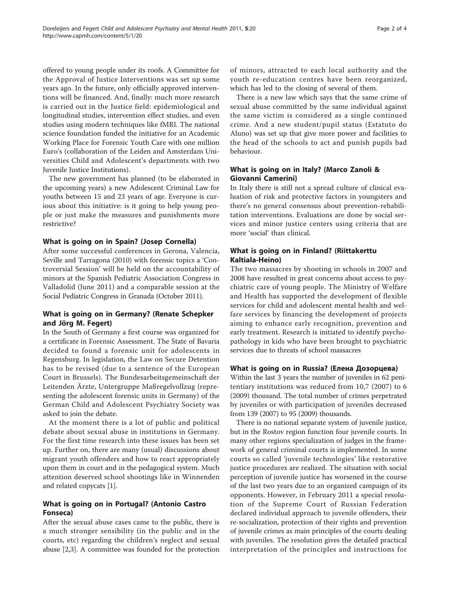offered to young people under its roofs. A Committee for the Approval of Justice Interventions was set up some years ago. In the future, only officially approved interventions will be financed. And, finally: much more research is carried out in the Justice field: epidemiological and longitudinal studies, intervention effect studies, and even studies using modern techniques like fMRI. The national science foundation funded the initiative for an Academic Working Place for Forensic Youth Care with one million Euro's (collaboration of the Leiden and Amsterdam Universities Child and Adolescent's departments with two Juvenile Justice Institutions).

The new government has planned (to be elaborated in the upcoming years) a new Adolescent Criminal Law for youths between 15 and 23 years of age. Everyone is curious about this initiative: is it going to help young people or just make the measures and punishments more restrictive?

# What is going on in Spain? (Josep Cornella)

After some successful conferences in Gerona, Valencia, Seville and Tarragona (2010) with forensic topics a 'Controversial Session' will be held on the accountability of minors at the Spanish Pediatric Association Congress in Valladolid (June 2011) and a comparable session at the Social Pediatric Congress in Granada (October 2011).

# What is going on in Germany? (Renate Schepker and Jörg M. Fegert)

In the South of Germany a first course was organized for a certificate in Forensic Assessment. The State of Bavaria decided to found a forensic unit for adolescents in Regensburg. In legislation, the Law on Secure Detention has to be revised (due to a sentence of the European Court in Brussels). The Bundesarbeitsgemeinschaft der Leitenden Ärzte, Untergruppe Maßregelvollzug (representing the adolescent forensic units in Germany) of the German Child and Adolescent Psychiatry Society was asked to join the debate.

At the moment there is a lot of public and political debate about sexual abuse in institutions in Germany. For the first time research into these issues has been set up. Further on, there are many (usual) discussions about migrant youth offenders and how to react appropriately upon them in court and in the pedagogical system. Much attention deserved school shootings like in Winnenden and related copycats [\[1](#page-3-0)].

# What is going on in Portugal? (Antonio Castro Fonseca)

After the sexual abuse cases came to the public, there is a much stronger sensibility (in the public and in the courts, etc) regarding the children's neglect and sexual abuse [[2,3\]](#page-3-0). A committee was founded for the protection

of minors, attracted to each local authority and the youth re-education centres have been reorganized, which has led to the closing of several of them.

There is a new law which says that the same crime of sexual abuse committed by the same individual against the same victim is considered as a single continued crime. And a new student/pupil status (Estatuto do Aluno) was set up that give more power and facilities to the head of the schools to act and punish pupils bad behaviour.

# What is going on in Italy? (Marco Zanoli & Giovanni Camerini)

In Italy there is still not a spread culture of clinical evaluation of risk and protective factors in youngsters and there's no general consensus about prevention-rehabilitation interventions. Evaluations are done by social services and minor justice centers using criteria that are more 'social' than clinical.

# What is going on in Finland? (Riittakerttu Kaltiala-Heino)

The two massacres by shooting in schools in 2007 and 2008 have resulted in great concerns about access to psychiatric care of young people. The Ministry of Welfare and Health has supported the development of flexible services for child and adolescent mental health and welfare services by financing the development of projects aiming to enhance early recognition, prevention and early treatment. Research is initiated to identify psychopathology in kids who have been brought to psychiatric services due to threats of school massacres

# What is going on in Russia? (Елена Дозорцева)

Within the last 3 years the number of juveniles in 62 penitentiary institutions was reduced from 10,7 (2007) to 6 (2009) thousand. The total number of crimes perpetrated by juveniles or with participation of juveniles decreased from 139 (2007) to 95 (2009) thousands.

There is no national separate system of juvenile justice, but in the Rostov region function four juvenile courts. In many other regions specialization of judges in the framework of general criminal courts is implemented. In some courts so called 'juvenile technologies' like restorative justice procedures are realized. The situation with social perception of juvenile justice has worsened in the course of the last two years due to an organized campaign of its opponents. However, in February 2011 a special resolution of the Supreme Court of Russian Federation declared individual approach to juvenile offenders, their re-socialization, protection of their rights and prevention of juvenile crimes as main principles of the courts dealing with juveniles. The resolution gives the detailed practical interpretation of the principles and instructions for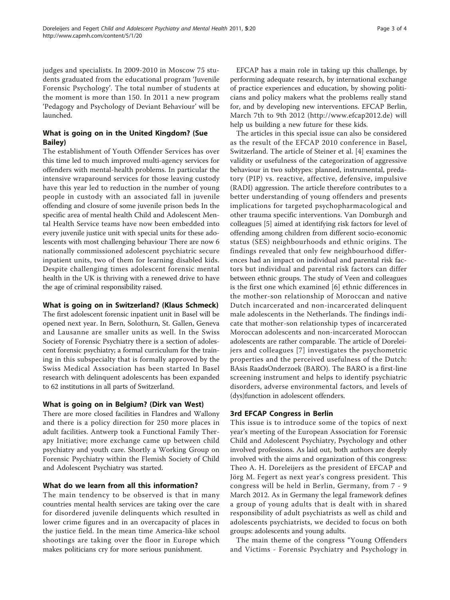judges and specialists. In 2009-2010 in Moscow 75 students graduated from the educational program 'Juvenile Forensic Psychology'. The total number of students at the moment is more than 150. In 2011 a new program

'Pedagogy and Psychology of Deviant Behaviour' will be

# What is going on in the United Kingdom? (Sue Bailey)

launched.

The establishment of Youth Offender Services has over this time led to much improved multi-agency services for offenders with mental-health problems. In particular the intensive wraparound services for those leaving custody have this year led to reduction in the number of young people in custody with an associated fall in juvenile offending and closure of some juvenile prison beds In the specific area of mental health Child and Adolescent Mental Health Service teams have now been embedded into every juvenile justice unit with special units for these adolescents with most challenging behaviour There are now 6 nationally commissioned adolescent psychiatric secure inpatient units, two of them for learning disabled kids. Despite challenging times adolescent forensic mental health in the UK is thriving with a renewed drive to have the age of criminal responsibility raised.

# What is going on in Switzerland? (Klaus Schmeck)

The first adolescent forensic inpatient unit in Basel will be opened next year. In Bern, Solothurn, St. Gallen, Geneva and Lausanne are smaller units as well. In the Swiss Society of Forensic Psychiatry there is a section of adolescent forensic psychiatry; a formal curriculum for the training in this subspecialty that is formally approved by the Swiss Medical Association has been started In Basel research with delinquent adolescents has been expanded to 62 institutions in all parts of Switzerland.

# What is going on in Belgium? (Dirk van West)

There are more closed facilities in Flandres and Wallony and there is a policy direction for 250 more places in adult facilities. Antwerp took a Functional Family Therapy Initiative; more exchange came up between child psychiatry and youth care. Shortly a Working Group on Forensic Psychiatry within the Flemish Society of Child and Adolescent Psychiatry was started.

#### What do we learn from all this information?

The main tendency to be observed is that in many countries mental health services are taking over the care for disordered juvenile delinquents which resulted in lower crime figures and in an overcapacity of places in the justice field. In the mean time America-like school shootings are taking over the floor in Europe which makes politicians cry for more serious punishment.

EFCAP has a main role in taking up this challenge, by performing adequate research, by international exchange of practice experiences and education, by showing politicians and policy makers what the problems really stand for, and by developing new interventions. EFCAP Berlin, March 7th to 9th 2012 ([http://www.efcap2012.de\)](http://www.efcap2012.de) will help us building a new future for these kids.

The articles in this special issue can also be considered as the result of the EFCAP 2010 conference in Basel, Switzerland. The article of Steiner et al. [[4\]](#page-3-0) examines the validity or usefulness of the categorization of aggressive behaviour in two subtypes: planned, instrumental, predatory (PIP) vs. reactive, affective, defensive, impulsive (RADI) aggression. The article therefore contributes to a better understanding of young offenders and presents implications for targeted psychopharmacological and other trauma specific interventions. Van Domburgh and colleagues [\[5](#page-3-0)] aimed at identifying risk factors for level of offending among children from different socio-economic status (SES) neighbourhoods and ethnic origins. The findings revealed that only few neighbourhood differences had an impact on individual and parental risk factors but individual and parental risk factors can differ between ethnic groups. The study of Veen and colleagues is the first one which examined [\[6](#page-3-0)] ethnic differences in the mother-son relationship of Moroccan and native Dutch incarcerated and non-incarcerated delinquent male adolescents in the Netherlands. The findings indicate that mother-son relationship types of incarcerated Moroccan adolescents and non-incarcerated Moroccan adolescents are rather comparable. The article of Doreleijers and colleagues [[7\]](#page-3-0) investigates the psychometric properties and the perceived usefulness of the Dutch: BAsis RaadsOnderzoek (BARO). The BARO is a first-line screening instrument and helps to identify psychiatric disorders, adverse environmental factors, and levels of (dys)function in adolescent offenders.

# 3rd EFCAP Congress in Berlin

This issue is to introduce some of the topics of next year's meeting of the European Association for Forensic Child and Adolescent Psychiatry, Psychology and other involved professions. As laid out, both authors are deeply involved with the aims and organization of this congress: Theo A. H. Doreleijers as the president of EFCAP and Jörg M. Fegert as next year's congress president. This congress will be held in Berlin, Germany, from 7 - 9 March 2012. As in Germany the legal framework defines a group of young adults that is dealt with in shared responsibility of adult psychiatrists as well as child and adolescents psychiatrists, we decided to focus on both groups: adolescents and young adults.

The main theme of the congress "Young Offenders and Victims - Forensic Psychiatry and Psychology in